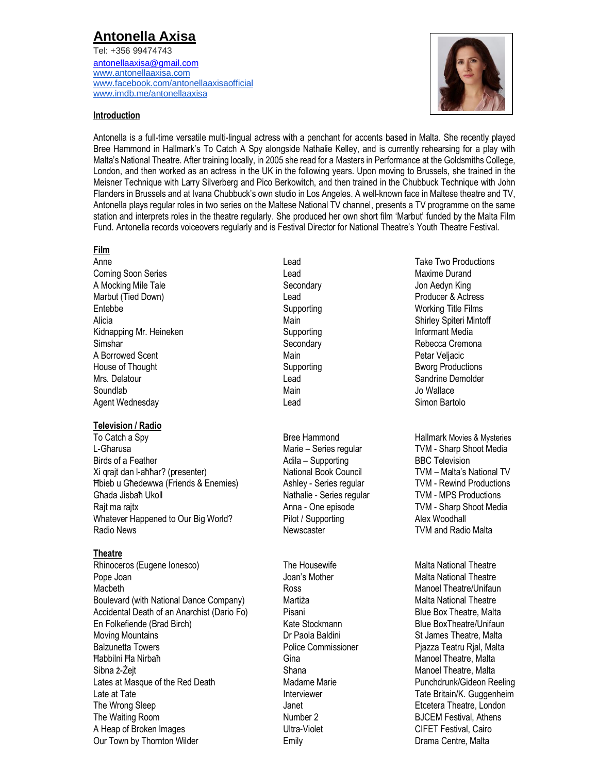# **Antonella Axisa**

Tel: +356 99474743 [antonellaaxisa@gmail.com](mailto:antonellaaxisa@gmail.com) [www.antonellaaxisa.com](http://www.antonellaaxisa.com/) [www.facebook.com/antonellaaxisaofficial](http://www.facebook.com/antonellaaxisaofficial) [www.imdb.me/antonellaaxisa](http://www.imdb.me/antonellaaxisa)



#### **Introduction**

Antonella is a full-time versatile multi-lingual actress with a penchant for accents based in Malta. She recently played Bree Hammond in Hallmark's To Catch A Spy alongside Nathalie Kelley, and is currently rehearsing for a play with Malta's National Theatre. After training locally, in 2005 she read for a Masters in Performance at the Goldsmiths College, London, and then worked as an actress in the UK in the following years. Upon moving to Brussels, she trained in the Meisner Technique with Larry Silverberg and Pico Berkowitch, and then trained in the Chubbuck Technique with John Flanders in Brussels and at Ivana Chubbuck's own studio in Los Angeles. A well-known face in Maltese theatre and TV, Antonella plays regular roles in two series on the Maltese National TV channel, presents a TV programme on the same station and interprets roles in the theatre regularly. She produced her own short film 'Marbut' funded by the Malta Film Fund. Antonella records voiceovers regularly and is Festival Director for National Theatre's Youth Theatre Festival.

#### **Film**

Coming Soon Series **Coming Soon Series** Lead Lead Coming Soon Series And Alexander Coming Soon Series And Alexander Communication Communication Communication Communication Communication Communication Communication Communic A Mocking Mile Tale **Secondary** Secondary **Secondary** Jon Aedyn King Marbut (Tied Down) **Read Producer & Actress** Controller Actress Controller Broad Producer & Actress Entebbe **Supporting Working Title Films** Supporting Title Times Working Title Films Alicia **Main** Main Shirley Spiteri Mintoff Kidnapping Mr. Heineken **Informant Media** Supporting **Informant Media** Simshar Secondary Secondary Secondary Rebecca Cremona A Borrowed Scent **All and Accord Contract Contract A** Main **Petar Veljacic** Petar Veljacic House of Thought Supporting Burgers and Supporting Bworg Productions Bworg Productions Mrs. Delatour Charles Communication of the Lead Charles Communication Charles Candrine Demolder Soundlab **Main** Main Jo Wallace Main Main Jo Wallace Agent Wednesday **Agent Wednesday Contract Contract Contract Lead** Contract Contract Contract Contract Contract Contract Contract Contract Contract Contract Contract Contract Contract Contract Contract Contract Contract C

#### **Television / Radio**

To Catch a Spy Bree Hammond Hallmark Movies & Mysteries L-Għarusa Marie – Series regular TVM - Sharp Shoot Media Birds of a Feather Xi qrajt dan l-aħħar? (presenter) Ħbieb u Għedewwa (Friends & Enemies) Ashley - Series regular TVM - Rewind Productions Għada Jisbaħ Ukoll Nathalie - Series regular TVM - MPS Productions Rajt ma rajtx **Anna - One episode** TVM - Sharp Shoot Media Whatever Happened to Our Big World? Pilot / Supporting Alex Woodhall Radio News **Newscaster** Newscaster **Newscaster** TVM and Radio Malta

#### **Theatre**

Rhinoceros (Eugene Ionesco) The Housewife Malta National Theatre Malta National Theatre Pope Joan **Malta National Theatre** Joan's Mother Malta National Theatre Macbeth Ross Manoel Theatre/Unifaun Boulevard (with National Dance Company) Martiża Malta Malta National Theatre Accidental Death of an Anarchist (Dario Fo) Pisani Blue Box Theatre, Malta En Folkefiende (Brad Birch) **Kate Stockmann** Blue BoxTheatre/Unifaun Blue BoxTheatre/Unifaun Moving Mountains **Moving Mountains** Dr Paola Baldini **St James Theatre, Malta** Balzunetta Towers **Police Commissioner** Police Commissioner Piazza Teatru Rjal, Malta Ħabbilni Ħa Nirbaħ Gina Manoel Theatre, Malta Sibna ż-Żeit Solom Shana Manoel Theatre, Malta Lates at Masque of the Red Death Madame Marie Punchdrunk/Gideon Reeling Late at Tate **Interviewer** Tate Britain/K. Guggenheim The Wrong Sleep **The Wrong Sleep** Janet **Janet** All the United Stephen Stephen Stephen Stephen Stephen Stephen Stephen Stephen Stephen Stephen Stephen Stephen Stephen Stephen Stephen Stephen Stephen Stephen Stephen Stephen The Waiting Room **Number 2 Number 2 BJCEM Festival, Athens** A Heap of Broken Images The CIFET Festival, Cairo Our Town by Thornton Wilder **Emily** Emily **Emily** Drama Centre, Malta

Adila – Supporting National Book Council

Anne **Anne** Take Two Productions **Contains the Lead** Lead Take Two Productions **Contains the Two Productions** 

BBC Television TVM – Malta's National TV